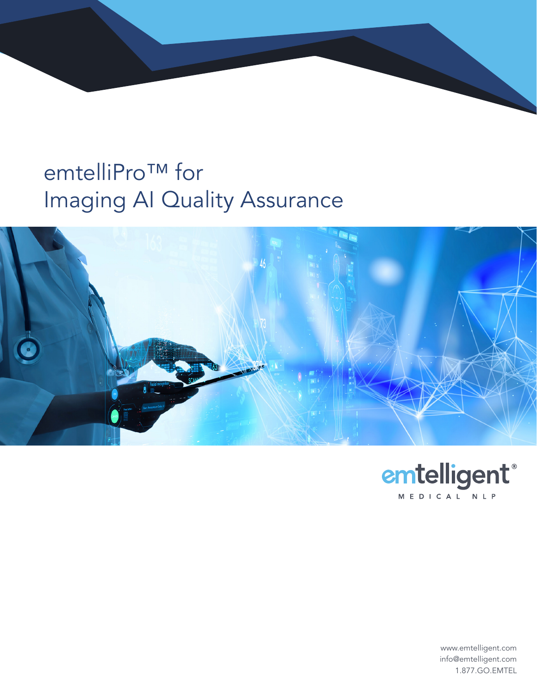## emtelliPro™ for Imaging AI Quality Assurance





www.emtelligent.com info@emtelligent.com 1.877.GO.EMTEL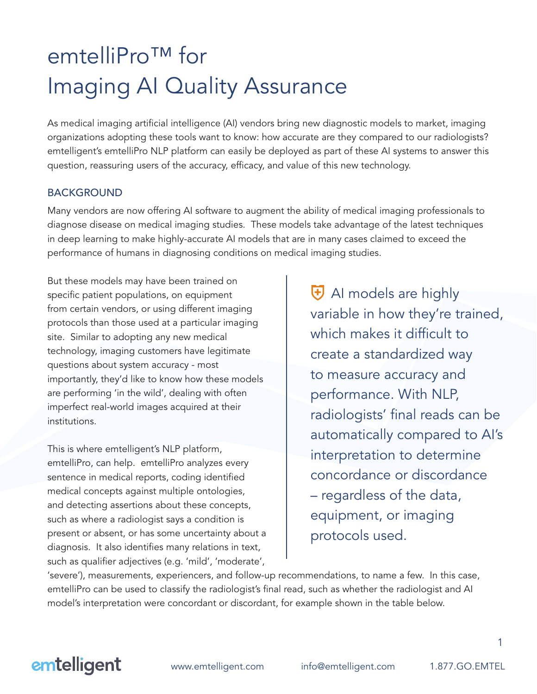# emtelliPro<sup>™</sup> for Imaging AI Quality Assurance

As medical imaging artificial intelligence (AI) vendors bring new diagnostic models to market, imaging organizations adopting these tools want to know: how accurate are they compared to our radiologists? emtelligent's emtelliPro NLP platform can easily be deployed as part of these AI systems to answer this question, reassuring users of the accuracy, efficacy, and value of this new technology.

### BACKGROUND

Many vendors are now offering AI software to augment the ability of medical imaging professionals to diagnose disease on medical imaging studies. These models take advantage of the latest techniques in deep learning to make highly-accurate AI models that are in many cases claimed to exceed the performance of humans in diagnosing conditions on medical imaging studies.

But these models may have been trained on specific patient populations, on equipment from certain vendors, or using different imaging protocols than those used at a particular imaging site. Similar to adopting any new medical technology, imaging customers have legitimate questions about system accuracy - most importantly, they'd like to know how these models are performing 'in the wild', dealing with often imperfect real-world images acquired at their institutions.

This is where emtelligent's NLP platform, emtelliPro, can help. emtelliPro analyzes every sentence in medical reports, coding identified medical concepts against multiple ontologies, and detecting assertions about these concepts, such as where a radiologist says a condition is present or absent, or has some uncertainty about a diagnosis. It also identifies many relations in text, such as qualifier adjectives (e.g. 'mild', 'moderate',

H AI models are highly variable in how they're trained, which makes it difficult to create a standardized way to measure accuracy and performance. With NLP, radiologists' final reads can be automatically compared to AI's interpretation to determine concordance or discordance – regardless of the data, equipment, or imaging protocols used.

'severe'), measurements, experiencers, and follow-up recommendations, to name a few. In this case, emtelliPro can be used to classify the radiologist's final read, such as whether the radiologist and AI model's interpretation were concordant or discordant, for example shown in the table below.



www.emtelligent.com info@emtelligent.com 1.877.GO.EMTEL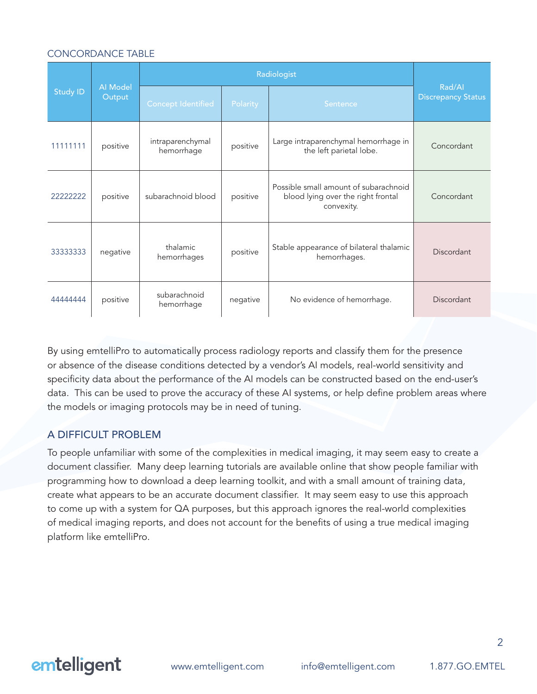#### CONCORDANCE TABLE

| <b>Study ID</b> | <b>Al</b> Model<br>Output | Radiologist                    |          |                                                                                           |                                     |
|-----------------|---------------------------|--------------------------------|----------|-------------------------------------------------------------------------------------------|-------------------------------------|
|                 |                           | <b>Concept Identified</b>      | Polarity | Sentence                                                                                  | Rad/Al<br><b>Discrepancy Status</b> |
| 11111111        | positive                  | intraparenchymal<br>hemorrhage | positive | Large intraparenchymal hemorrhage in<br>the left parietal lobe.                           | Concordant                          |
| 22222222        | positive                  | subarachnoid blood             | positive | Possible small amount of subarachnoid<br>blood lying over the right frontal<br>convexity. | Concordant                          |
| 33333333        | negative                  | thalamic<br>hemorrhages        | positive | Stable appearance of bilateral thalamic<br>hemorrhages.                                   | Discordant                          |
| 44444444        | positive                  | subarachnoid<br>hemorrhage     | negative | No evidence of hemorrhage.                                                                | Discordant                          |

By using emtelliPro to automatically process radiology reports and classify them for the presence or absence of the disease conditions detected by a vendor's AI models, real-world sensitivity and specificity data about the performance of the AI models can be constructed based on the end-user's data. This can be used to prove the accuracy of these AI systems, or help define problem areas where the models or imaging protocols may be in need of tuning.

#### A DIFFICULT PROBLEM

To people unfamiliar with some of the complexities in medical imaging, it may seem easy to create a document classifier. Many deep learning tutorials are available online that show people familiar with programming how to download a deep learning toolkit, and with a small amount of training data, create what appears to be an accurate document classifier. It may seem easy to use this approach to come up with a system for QA purposes, but this approach ignores the real-world complexities of medical imaging reports, and does not account for the benefits of using a true medical imaging platform like emtelliPro.

### emtelligent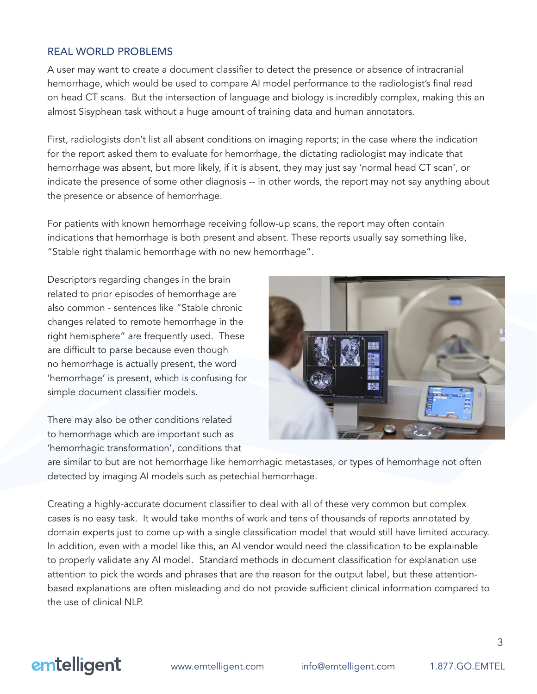#### REAL WORLD PROBLEMS

A user may want to create a document classifier to detect the presence or absence of intracranial hemorrhage, which would be used to compare AI model performance to the radiologist's final read on head CT scans. But the intersection of language and biology is incredibly complex, making this an almost Sisyphean task without a huge amount of training data and human annotators.

First, radiologists don't list all absent conditions on imaging reports; in the case where the indication for the report asked them to evaluate for hemorrhage, the dictating radiologist may indicate that hemorrhage was absent, but more likely, if it is absent, they may just say 'normal head CT scan', or indicate the presence of some other diagnosis -- in other words, the report may not say anything about the presence or absence of hemorrhage.

For patients with known hemorrhage receiving follow-up scans, the report may often contain indications that hemorrhage is both present and absent. These reports usually say something like, "Stable right thalamic hemorrhage with no new hemorrhage".

Descriptors regarding changes in the brain related to prior episodes of hemorrhage are also common - sentences like "Stable chronic changes related to remote hemorrhage in the right hemisphere" are frequently used. These are difficult to parse because even though no hemorrhage is actually present, the word 'hemorrhage' is present, which is confusing for simple document classifier models.

There may also be other conditions related to hemorrhage which are important such as 'hemorrhagic transformation', conditions that



are similar to but are not hemorrhage like hemorrhagic metastases, or types of hemorrhage not often detected by imaging AI models such as petechial hemorrhage.

Creating a highly-accurate document classifier to deal with all of these very common but complex cases is no easy task. It would take months of work and tens of thousands of reports annotated by domain experts just to come up with a single classification model that would still have limited accuracy. In addition, even with a model like this, an AI vendor would need the classification to be explainable to properly validate any AI model. Standard methods in document classification for explanation use attention to pick the words and phrases that are the reason for the output label, but these attentionbased explanations are often misleading and do not provide sufficient clinical information compared to the use of clinical NLP.

### emtelligent

www.emtelligent.com info@emtelligent.com 1.877.GO.EMTEL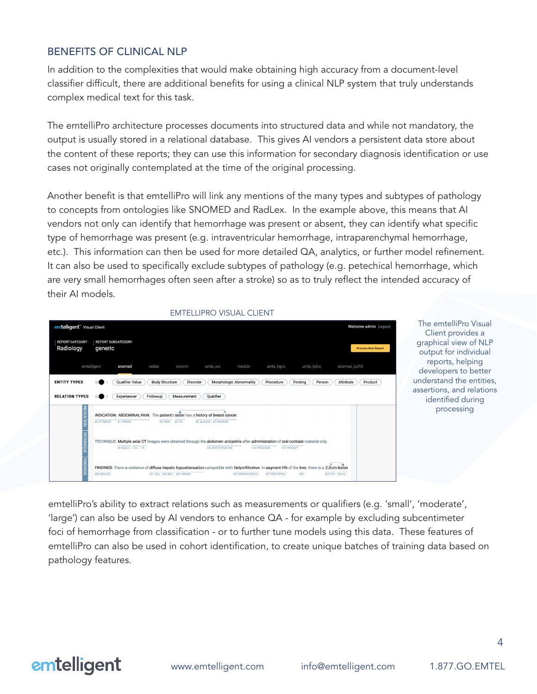### BENEFITS OF CLINICAL NLP

In addition to the complexities that would make obtaining high accuracy from a document-level classifier difficult, there are additional benefits for using a clinical NLP system that truly understands complex medical text for this task.

The emtelliPro architecture processes documents into structured data and while not mandatory, the output is usually stored in a relational database. This gives AI vendors a persistent data store about the content of these reports; they can use this information for secondary diagnosis identification or use cases not originally contemplated at the time of the original processing.

Another benefit is that emtelliPro will link any mentions of the many types and subtypes of pathology to concepts from ontologies like SNOMED and RadLex. In the example above, this means that AI vendors not only can identify that hemorrhage was present or absent, they can identify what specific type of hemorrhage was present (e.g. intraventricular hemorrhage, intraparenchymal hemorrhage, etc.). This information can then be used for more detailed QA, analytics, or further model refinement. It can also be used to specifically exclude subtypes of pathology (e.g. petechical hemorrhage, which are very small hemorrhages often seen after a stroke) so as to truly reflect the intended accuracy of their AI models.



The emtelliPro Visual Client provides a graphical view of NLP output for individual reports, helping developers to better understand the entities, assertions, and relations identified during processing

emtelliPro's ability to extract relations such as measurements or qualifiers (e.g. 'small', 'moderate', 'large') can also be used by AI vendors to enhance QA - for example by excluding subcentimeter foci of hemorrhage from classification - or to further tune models using this data. These features of emtelliPro can also be used in cohort identification, to create unique batches of training data based on pathology features.

### emtelligent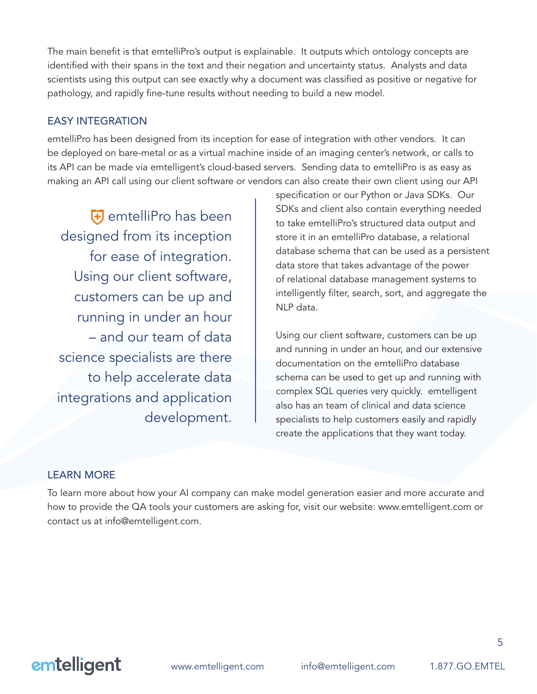The main benefit is that emtelliPro's output is explainable. It outputs which ontology concepts are identified with their spans in the text and their negation and uncertainty status. Analysts and data scientists using this output can see exactly why a document was classified as positive or negative for pathology, and rapidly fine-tune results without needing to build a new model.

### EASY INTEGRATION

emtelliPro has been designed from its inception for ease of integration with other vendors. It can be deployed on bare-metal or as a virtual machine inside of an imaging center's network, or calls to its API can be made via emtelligent's cloud-based servers. Sending data to emtelliPro is as easy as making an API call using our client software or vendors can also create their own client using our API

emtelliPro has been designed from its inception for ease of integration. Using our client software, customers can be up and running in under an hour – and our team of data science specialists are there to help accelerate data integrations and application development.

specification or our Python or Java SDKs. Our SDKs and client also contain everything needed to take emtelliPro's structured data output and store it in an emtelliPro database, a relational database schema that can be used as a persistent data store that takes advantage of the power of relational database management systems to intelligently filter, search, sort, and aggregate the NLP data.

Using our client software, customers can be up and running in under an hour, and our extensive documentation on the emtelliPro database schema can be used to get up and running with complex SQL queries very quickly. emtelligent also has an team of clinical and data science specialists to help customers easily and rapidly create the applications that they want today.

### LEARN MORE

To learn more about how your AI company can make model generation easier and more accurate and how to provide the QA tools your customers are asking for, visit our website: www.emtelligent.com or contact us at info@emtelligent.com.

### emtelligent